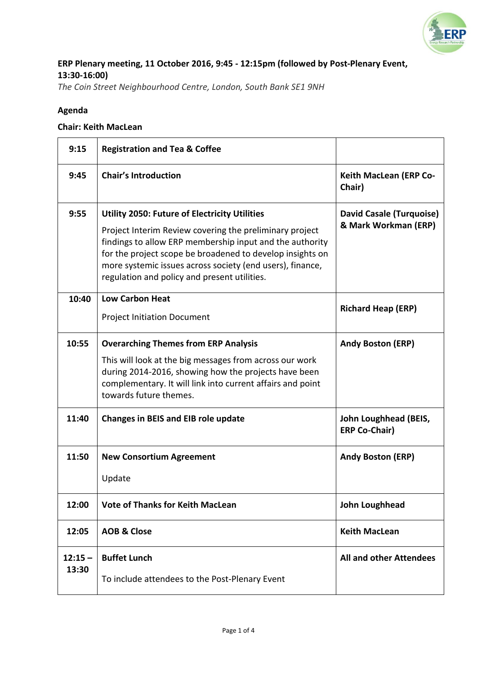

# **ERP Plenary meeting, 11 October 2016, 9:45 - 12:15pm (followed by Post-Plenary Event, 13:30-16:00)**

*The Coin Street Neighbourhood Centre, London, South Bank SE1 9NH*

#### **Agenda**

#### **Chair: Keith MacLean**

| 9:15               | <b>Registration and Tea &amp; Coffee</b>                                                                                                                                                                                                                                                                                                              |                                                         |
|--------------------|-------------------------------------------------------------------------------------------------------------------------------------------------------------------------------------------------------------------------------------------------------------------------------------------------------------------------------------------------------|---------------------------------------------------------|
| 9:45               | <b>Chair's Introduction</b>                                                                                                                                                                                                                                                                                                                           | <b>Keith MacLean (ERP Co-</b><br>Chair)                 |
| 9:55               | <b>Utility 2050: Future of Electricity Utilities</b><br>Project Interim Review covering the preliminary project<br>findings to allow ERP membership input and the authority<br>for the project scope be broadened to develop insights on<br>more systemic issues across society (end users), finance,<br>regulation and policy and present utilities. | <b>David Casale (Turquoise)</b><br>& Mark Workman (ERP) |
| 10:40              | <b>Low Carbon Heat</b><br><b>Project Initiation Document</b>                                                                                                                                                                                                                                                                                          | <b>Richard Heap (ERP)</b>                               |
| 10:55              | <b>Overarching Themes from ERP Analysis</b><br>This will look at the big messages from across our work<br>during 2014-2016, showing how the projects have been<br>complementary. It will link into current affairs and point<br>towards future themes.                                                                                                | <b>Andy Boston (ERP)</b>                                |
| 11:40              | <b>Changes in BEIS and EIB role update</b>                                                                                                                                                                                                                                                                                                            | John Loughhead (BEIS,<br><b>ERP Co-Chair)</b>           |
| 11:50              | <b>New Consortium Agreement</b><br>Update                                                                                                                                                                                                                                                                                                             | <b>Andy Boston (ERP)</b>                                |
| 12:00              | <b>Vote of Thanks for Keith MacLean</b>                                                                                                                                                                                                                                                                                                               | John Loughhead                                          |
| 12:05              | <b>AOB &amp; Close</b>                                                                                                                                                                                                                                                                                                                                | <b>Keith MacLean</b>                                    |
| $12:15 -$<br>13:30 | <b>Buffet Lunch</b><br>To include attendees to the Post-Plenary Event                                                                                                                                                                                                                                                                                 | <b>All and other Attendees</b>                          |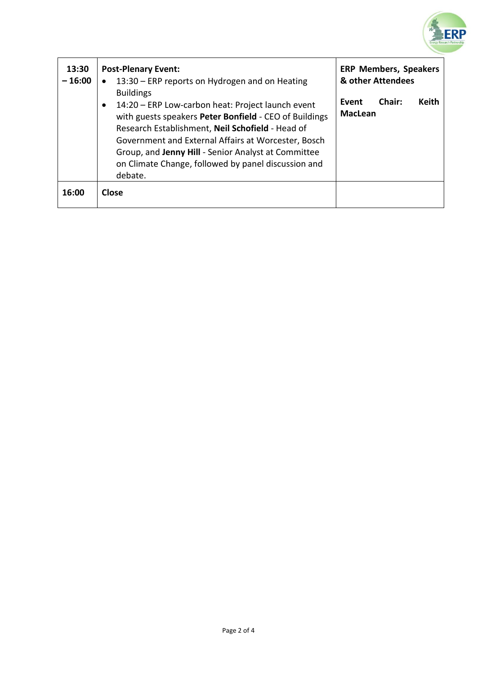

| 13:30<br>$-16:00$ | <b>Post-Plenary Event:</b><br>13:30 – ERP reports on Hydrogen and on Heating                                                                                                                                                                                                                                                                                        | <b>ERP Members, Speakers</b><br>& other Attendees |
|-------------------|---------------------------------------------------------------------------------------------------------------------------------------------------------------------------------------------------------------------------------------------------------------------------------------------------------------------------------------------------------------------|---------------------------------------------------|
|                   | <b>Buildings</b><br>14:20 – ERP Low-carbon heat: Project launch event<br>with guests speakers Peter Bonfield - CEO of Buildings<br>Research Establishment, Neil Schofield - Head of<br>Government and External Affairs at Worcester, Bosch<br>Group, and Jenny Hill - Senior Analyst at Committee<br>on Climate Change, followed by panel discussion and<br>debate. | Chair:<br>Keith<br>Event<br><b>MacLean</b>        |
| 16:00             | <b>Close</b>                                                                                                                                                                                                                                                                                                                                                        |                                                   |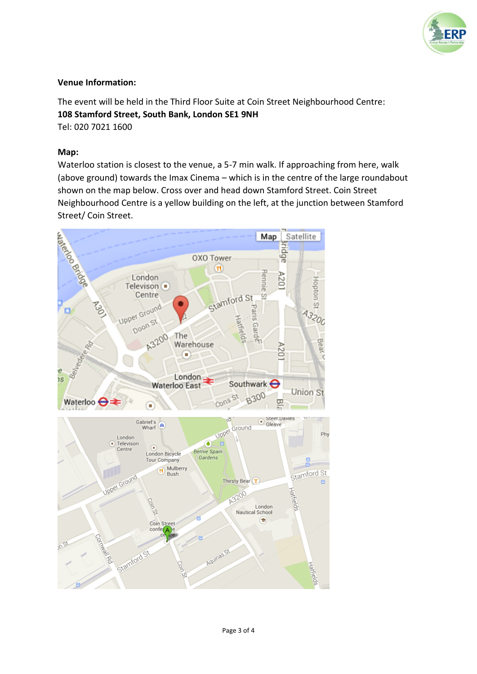

### **Venue Information:**

The event will be held in the Third Floor Suite at Coin Street Neighbourhood Centre: **108 Stamford Street, South Bank, London SE1 9NH** Tel: 020 7021 1600

#### **Map:**

Waterloo station is closest to the venue, a 5-7 min walk. If approaching from here, walk (above ground) towards the Imax Cinema – which is in the centre of the large roundabout shown on the map below. Cross over and head down Stamford Street. Coin Street Neighbourhood Centre is a yellow building on the left, at the junction between Stamford Street/ Coin Street.